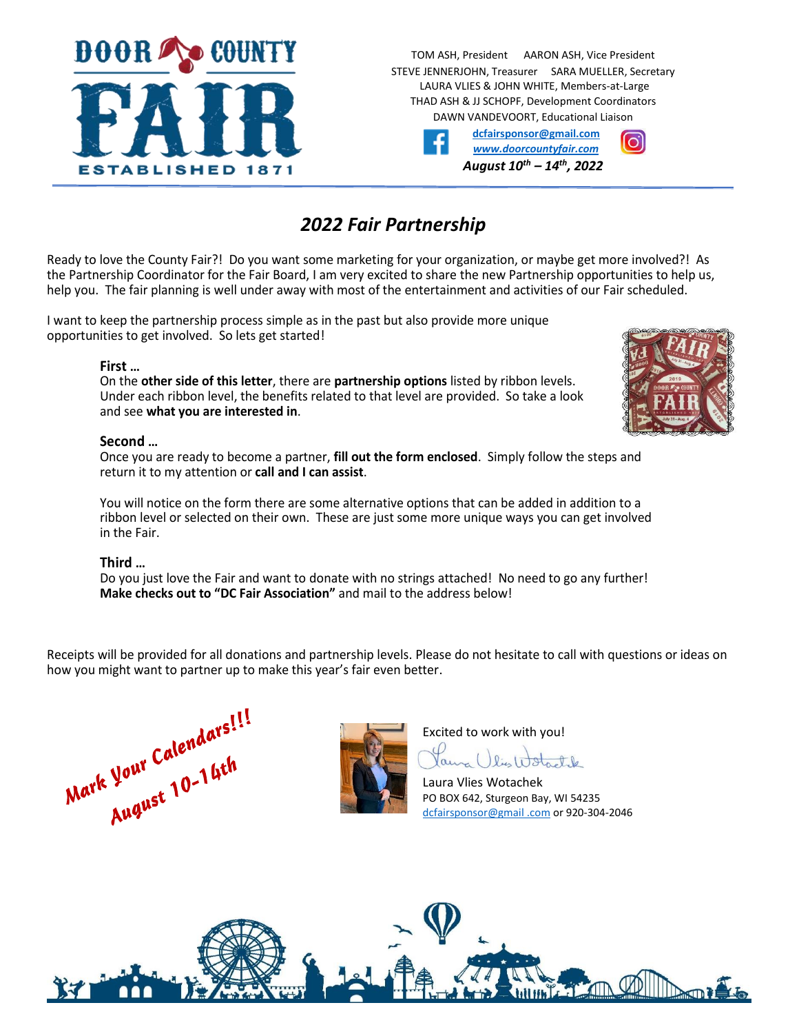

TOM ASH, President AARON ASH, Vice President STEVE JENNERJOHN, Treasurer SARA MUELLER, Secretary LAURA VLIES & JOHN WHITE, Members-at-Large THAD ASH & JJ SCHOPF, Development Coordinators DAWN VANDEVOORT, Educational Liaison

|   | dcfairsponsor@gmail.com             |  |
|---|-------------------------------------|--|
| f | www.doorcountyfair.com              |  |
|   | August $10^{th}$ – $14^{th}$ , 2022 |  |

# *2022 Fair Partnership*

Ready to love the County Fair?! Do you want some marketing for your organization, or maybe get more involved?! As the Partnership Coordinator for the Fair Board, I am very excited to share the new Partnership opportunities to help us, help you. The fair planning is well under away with most of the entertainment and activities of our Fair scheduled.

I want to keep the partnership process simple as in the past but also provide more unique opportunities to get involved. So lets get started!

## **First …**

On the **other side of this letter**, there are **partnership options** listed by ribbon levels. Under each ribbon level, the benefits related to that level are provided. So take a look and see **what you are interested in**.

## **Second …**

Once you are ready to become a partner, **fill out the form enclosed**. Simply follow the steps and return it to my attention or **call and I can assist**.

You will notice on the form there are some alternative options that can be added in addition to a ribbon level or selected on their own. These are just some more unique ways you can get involved in the Fair.

## **Third …**

Do you just love the Fair and want to donate with no strings attached! No need to go any further! **Make checks out to "DC Fair Association"** and mail to the address below!

Receipts will be provided for all donations and partnership levels. Please do not hesitate to call with questions or ideas on how you might want to partner up to make this year's fair even better.





Excited to work with you!

Jame () lis Watchle

Laura Vlies Wotachek PO BOX 642, Sturgeon Bay, WI 54235 [dcfairsponsor@gmail](mailto:dcfairsponsor@gmail.com) .com or 920-304-2046



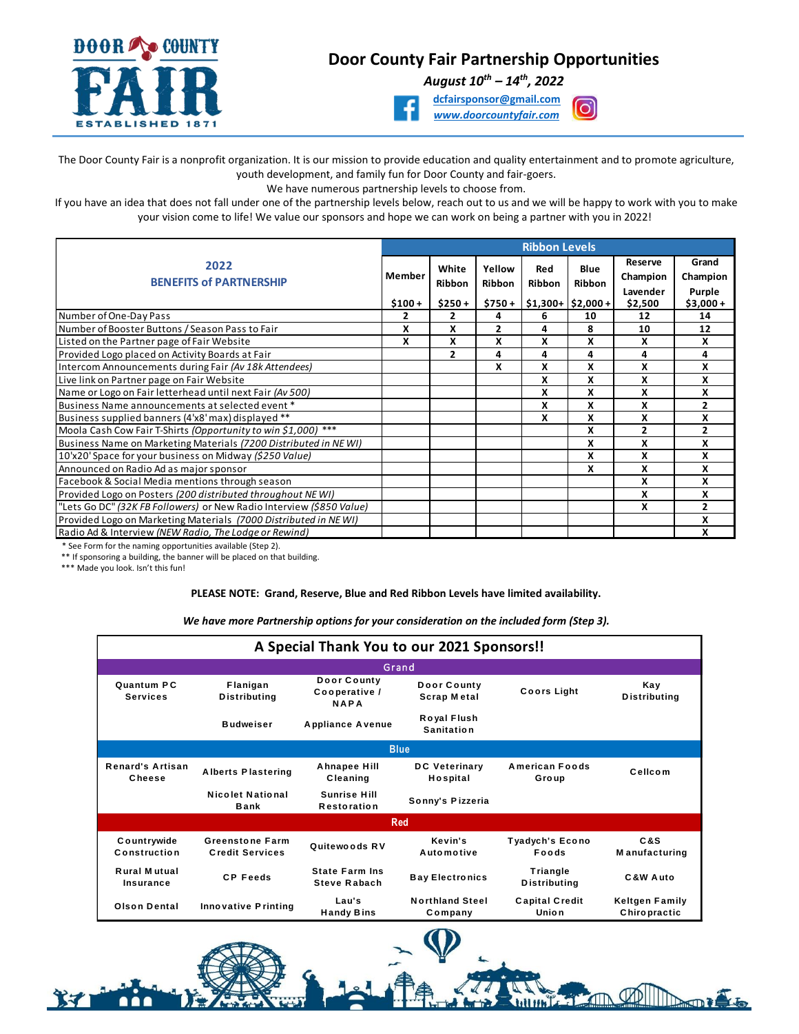

## **Door County Fair Partnership Opportunities**

*August 10th – 14th, 2022*





The Door County Fair is a nonprofit organization. It is our mission to provide education and quality entertainment and to promote agriculture, youth development, and family fun for Door County and fair-goers.

We have numerous partnership levels to choose from.

If you have an idea that does not fall under one of the partnership levels below, reach out to us and we will be happy to work with you to make your vision come to life! We value our sponsors and hope we can work on being a partner with you in 2022!

|                                                                      | <b>Ribbon Levels</b> |                |                |        |                   |                     |                   |  |  |
|----------------------------------------------------------------------|----------------------|----------------|----------------|--------|-------------------|---------------------|-------------------|--|--|
| 2022<br>Member                                                       |                      | White          | Yellow         | Red    | Blue              | Reserve<br>Champion | Grand<br>Champion |  |  |
| <b>BENEFITS of PARTNERSHIP</b>                                       |                      | Ribbon         | <b>Ribbon</b>  | Ribbon | Ribbon            | Lavender            | Purple            |  |  |
|                                                                      | $$100+$              | $$250+$        | $$750+$        |        | $$1,300+ $2,000+$ | \$2,500             | $$3,000+$         |  |  |
| Number of One-Day Pass                                               | 2                    | 2              | 4              | 6      | 10                | 12                  | 14                |  |  |
| Number of Booster Buttons / Season Pass to Fair                      | X                    | X              | $\overline{2}$ | 4      | 8                 | 10                  | 12                |  |  |
| Listed on the Partner page of Fair Website                           | X                    | X              | X              | X      | x                 | X                   | x                 |  |  |
| Provided Logo placed on Activity Boards at Fair                      |                      | $\overline{2}$ | 4              | 4      | 4                 | 4                   | 4                 |  |  |
| Intercom Announcements during Fair (Av 18k Attendees)                |                      |                | X              | X      | x                 | X                   | x                 |  |  |
| Live link on Partner page on Fair Website                            |                      |                |                | X      | x                 | X                   | x                 |  |  |
| Name or Logo on Fair letterhead until next Fair (Av 500)             |                      |                |                | X      | x                 | X                   | X                 |  |  |
| Business Name announcements at selected event *                      |                      |                |                | x      | x                 | x                   | 2                 |  |  |
| Business supplied banners (4'x8' max) displayed **                   |                      |                |                | x      | X                 | X                   | X                 |  |  |
| Moola Cash Cow Fair T-Shirts (Opportunity to win \$1,000) ***        |                      |                |                |        | x                 | 2                   | 2                 |  |  |
| Business Name on Marketing Materials (7200 Distributed in NEWI)      |                      |                |                |        | x                 | X                   | x                 |  |  |
| 10'x20' Space for your business on Midway (\$250 Value)              |                      |                |                |        | x                 | X                   | x                 |  |  |
| Announced on Radio Ad as major sponsor                               |                      |                |                |        | x                 | X                   | x                 |  |  |
| Facebook & Social Media mentions through season                      |                      |                |                |        |                   | X                   | x                 |  |  |
| Provided Logo on Posters (200 distributed throughout NEWI)           |                      |                |                |        |                   | X                   | X                 |  |  |
| "Lets Go DC" (32K FB Followers) or New Radio Interview (\$850 Value) |                      |                |                |        |                   | X                   | $\overline{2}$    |  |  |
| Provided Logo on Marketing Materials (7000 Distributed in NEWI)      |                      |                |                |        |                   |                     | X                 |  |  |
| Radio Ad & Interview (NEW Radio, The Lodge or Rewind)                |                      |                |                |        |                   |                     | X                 |  |  |

\* See Form for the naming opportunities available (Step 2).

\*\* If sponsoring a building, the banner will be placed on that building.

\*\*\* Made you look. Isn't this fun!

#### **PLEASE NOTE: Grand, Reserve, Blue and Red Ribbon Levels have limited availability.**

| We have more Partnership options for your consideration on the included form (Step 3). |                                                  |                                              |                                   |                                 |                                              |  |  |  |  |  |
|----------------------------------------------------------------------------------------|--------------------------------------------------|----------------------------------------------|-----------------------------------|---------------------------------|----------------------------------------------|--|--|--|--|--|
| A Special Thank You to our 2021 Sponsors!!                                             |                                                  |                                              |                                   |                                 |                                              |  |  |  |  |  |
|                                                                                        | Grand                                            |                                              |                                   |                                 |                                              |  |  |  |  |  |
| Quantum PC<br><b>Services</b>                                                          | Flanigan<br><b>Distributing</b>                  | Door County<br>Cooperative /<br><b>NAPA</b>  | Door County<br><b>Scrap Metal</b> | <b>Coors Light</b>              | Kay<br><b>Distributing</b>                   |  |  |  |  |  |
|                                                                                        | <b>Budweiser</b>                                 | <b>Appliance Avenue</b>                      | Royal Flush<br><b>Sanitation</b>  |                                 |                                              |  |  |  |  |  |
| <b>Blue</b>                                                                            |                                                  |                                              |                                   |                                 |                                              |  |  |  |  |  |
| <b>Renard's Artisan</b><br>Cheese                                                      | <b>Alberts Plastering</b>                        | Ahnapee Hill<br>Cleaning                     | <b>DC Veterinary</b><br>Hospital  | <b>American Foods</b><br>Group  | Cellcom                                      |  |  |  |  |  |
|                                                                                        | Nicolet National<br><b>Bank</b>                  | <b>Sunrise Hill</b><br><b>Restoration</b>    | Sonny's Pizzeria                  |                                 |                                              |  |  |  |  |  |
|                                                                                        | <b>Red</b>                                       |                                              |                                   |                                 |                                              |  |  |  |  |  |
| Countrywide<br>Construction                                                            | <b>Greenstone Farm</b><br><b>Credit Services</b> | Quitewoods RV                                | Kevin's<br>Automotive             | <b>Tyadych's Econo</b><br>Foods | C&S<br><b>Manufacturing</b>                  |  |  |  |  |  |
| <b>Rural Mutual</b><br>Insurance                                                       | <b>CP Feeds</b>                                  | <b>State Farm Ins</b><br><b>Steve Rabach</b> | <b>Bay Electronics</b>            | Triangle<br><b>Distributing</b> | C&W Auto                                     |  |  |  |  |  |
| <b>Olson Dental</b>                                                                    | <b>Innovative Printing</b>                       | Lau's<br><b>Handy Bins</b>                   | <b>Northland Steel</b><br>Company | <b>Capital Credit</b><br>Union  | <b>Keltgen Family</b><br><b>Chiropractic</b> |  |  |  |  |  |